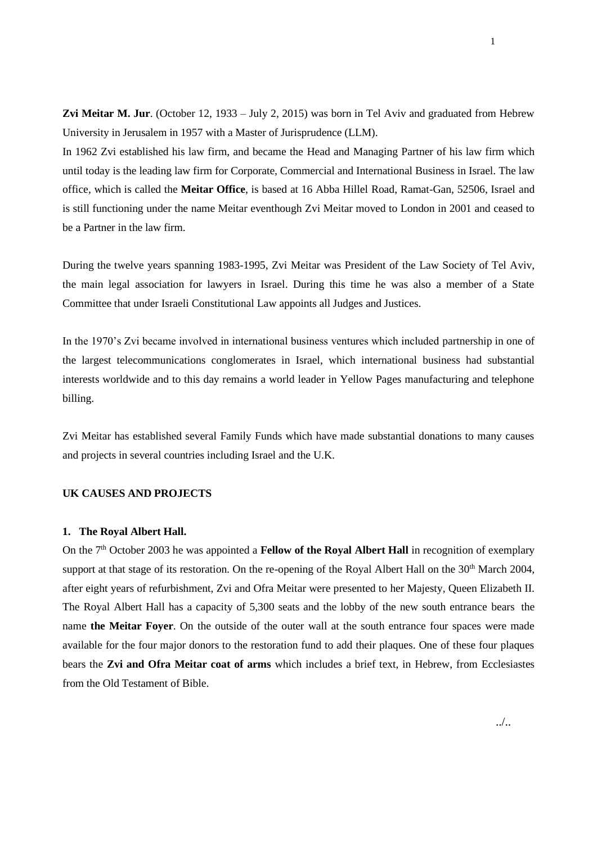**Zvi Meitar M. Jur**. (October 12, 1933 – July 2, 2015) was born in Tel Aviv and graduated from Hebrew University in Jerusalem in 1957 with a Master of Jurisprudence (LLM).

In 1962 Zvi established his law firm, and became the Head and Managing Partner of his law firm which until today is the leading law firm for Corporate, Commercial and International Business in Israel. The law office, which is called the **Meitar Office**, is based at 16 Abba Hillel Road, Ramat-Gan, 52506, Israel and is still functioning under the name Meitar eventhough Zvi Meitar moved to London in 2001 and ceased to be a Partner in the law firm.

During the twelve years spanning 1983-1995, Zvi Meitar was President of the Law Society of Tel Aviv, the main legal association for lawyers in Israel. During this time he was also a member of a State Committee that under Israeli Constitutional Law appoints all Judges and Justices.

In the 1970's Zvi became involved in international business ventures which included partnership in one of the largest telecommunications conglomerates in Israel, which international business had substantial interests worldwide and to this day remains a world leader in Yellow Pages manufacturing and telephone billing.

Zvi Meitar has established several Family Funds which have made substantial donations to many causes and projects in several countries including Israel and the U.K.

# **UK CAUSES AND PROJECTS**

### **1. The Royal Albert Hall.**

On the 7th October 2003 he was appointed a **Fellow of the Royal Albert Hall** in recognition of exemplary support at that stage of its restoration. On the re-opening of the Royal Albert Hall on the 30<sup>th</sup> March 2004, after eight years of refurbishment, Zvi and Ofra Meitar were presented to her Majesty, Queen Elizabeth II. The Royal Albert Hall has a capacity of 5,300 seats and the lobby of the new south entrance bears the name **the Meitar Foyer**. On the outside of the outer wall at the south entrance four spaces were made available for the four major donors to the restoration fund to add their plaques. One of these four plaques bears the **Zvi and Ofra Meitar coat of arms** which includes a brief text, in Hebrew, from Ecclesiastes from the Old Testament of Bible.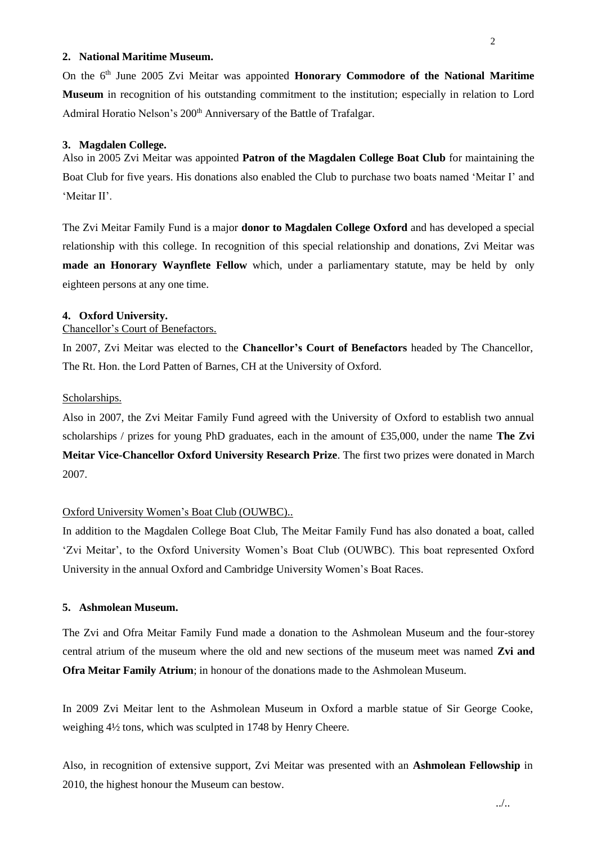### **2. National Maritime Museum.**

On the 6<sup>th</sup> June 2005 Zvi Meitar was appointed **Honorary Commodore of the National Maritime Museum** in recognition of his outstanding commitment to the institution; especially in relation to Lord Admiral Horatio Nelson's 200<sup>th</sup> Anniversary of the Battle of Trafalgar.

### **3. Magdalen College.**

Also in 2005 Zvi Meitar was appointed **Patron of the Magdalen College Boat Club** for maintaining the Boat Club for five years. His donations also enabled the Club to purchase two boats named 'Meitar I' and 'Meitar II'.

The Zvi Meitar Family Fund is a major **donor to Magdalen College Oxford** and has developed a special relationship with this college. In recognition of this special relationship and donations, Zvi Meitar was **made an Honorary Waynflete Fellow** which, under a parliamentary statute, may be held by only eighteen persons at any one time.

### **4. Oxford University.**

# Chancellor's Court of Benefactors.

In 2007, Zvi Meitar was elected to the **Chancellor's Court of Benefactors** headed by The Chancellor, The Rt. Hon. the Lord Patten of Barnes, CH at the University of Oxford.

#### Scholarships.

Also in 2007, the Zvi Meitar Family Fund agreed with the University of Oxford to establish two annual scholarships / prizes for young PhD graduates, each in the amount of £35,000, under the name **The Zvi Meitar Vice-Chancellor Oxford University Research Prize**. The first two prizes were donated in March 2007.

## Oxford University Women's Boat Club (OUWBC)..

In addition to the Magdalen College Boat Club, The Meitar Family Fund has also donated a boat, called 'Zvi Meitar', to the Oxford University Women's Boat Club (OUWBC). This boat represented Oxford University in the annual Oxford and Cambridge University Women's Boat Races.

# **5. Ashmolean Museum.**

The Zvi and Ofra Meitar Family Fund made a donation to the Ashmolean Museum and the four-storey central atrium of the museum where the old and new sections of the museum meet was named **Zvi and Ofra Meitar Family Atrium**; in honour of the donations made to the Ashmolean Museum.

In 2009 Zvi Meitar lent to the Ashmolean Museum in Oxford a marble statue of Sir George Cooke, weighing 4½ tons, which was sculpted in 1748 by Henry Cheere.

Also, in recognition of extensive support, Zvi Meitar was presented with an **Ashmolean Fellowship** in 2010, the highest honour the Museum can bestow.